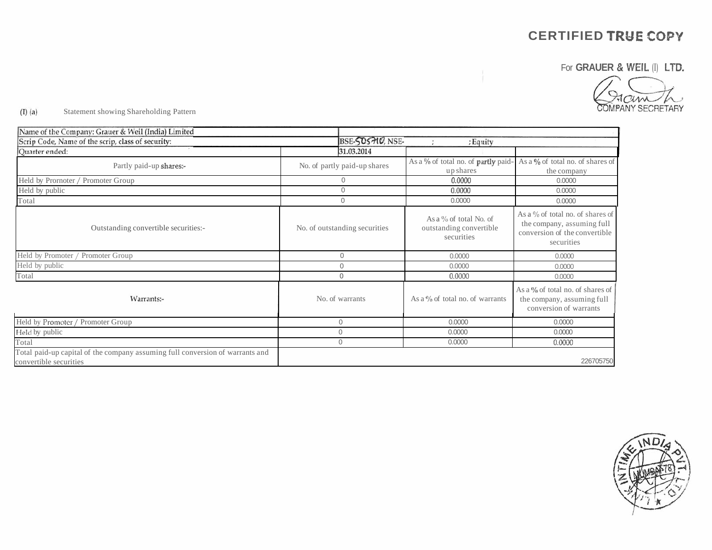For **GRAUER** & **WEIL (I) LTD.** 

COMPANY SECRETARY

#### $(I)$   $(a)$ Statement showing Shareholding Pattern

| Name of the Company: Grauer & Weil (India) Limited                                                      |                               |                                                                    |                                                                                                                  |
|---------------------------------------------------------------------------------------------------------|-------------------------------|--------------------------------------------------------------------|------------------------------------------------------------------------------------------------------------------|
| Scrip Code, Name of the scrip, class of security:                                                       | BSE-SOSHO, NSE-               | ; Equity                                                           |                                                                                                                  |
| Quarter ended:                                                                                          | 31.03.2014                    |                                                                    |                                                                                                                  |
| Partly paid-up shares:-                                                                                 | No. of partly paid-up shares  | As a % of total no. of partly paid-<br>up shares                   | As a $\%$ of total no. of shares of<br>the company                                                               |
| Held by Prornoter / Promoter Group                                                                      | $\overline{0}$                | 0.0000                                                             | 0.0000                                                                                                           |
| Held by public                                                                                          | $\Omega$                      | 0.0000                                                             | 0.0000                                                                                                           |
| Total                                                                                                   | $\Omega$                      | 0.0000                                                             | 0.0000                                                                                                           |
| Outstanding convertible securities:-                                                                    | No. of outstanding securities | As a $\%$ of total No. of<br>outstanding convertible<br>securities | As a $\%$ of total no. of shares of<br>the company, assuming full<br>conversion of the convertible<br>securities |
| Held by Promoter / Promoter Group                                                                       | $\mathbf{0}$                  | 0.0000                                                             | 0.0000                                                                                                           |
| Held by public                                                                                          | $\mathbf{0}$                  | 0.0000                                                             | 0.0000                                                                                                           |
| Total                                                                                                   | $\Omega$                      | 0.0000                                                             | 0.0000                                                                                                           |
| Warrants:-                                                                                              | No. of warrants               | As a $\%$ of total no. of warrants                                 | As a $\%$ of total no. of shares of<br>the company, assuming full<br>conversion of warrants                      |
| Held by Promoter / Promoter Group                                                                       | $\mathbf{0}$                  | 0.0000                                                             | 0.0000                                                                                                           |
| Held by public                                                                                          | $\mathbf{0}$                  | 0.0000                                                             | 0.0000                                                                                                           |
| Total                                                                                                   | $\mathbf{0}$                  | 0.0000                                                             | 0.0000                                                                                                           |
| Total paid-up capital of the company assuming full conversion of warrants and<br>convertible securities |                               |                                                                    | 226705750                                                                                                        |

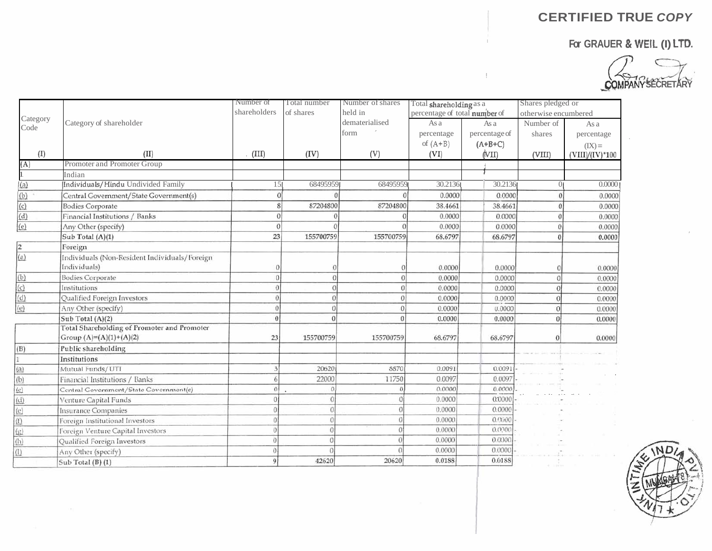,



|                  |                                                    | Number of<br>Total number<br>Number of shares<br>Total shareholding as a |           | Shares pledged or |                               |               |                      |                   |
|------------------|----------------------------------------------------|--------------------------------------------------------------------------|-----------|-------------------|-------------------------------|---------------|----------------------|-------------------|
|                  |                                                    | shareholders                                                             | of shares | held in           | percentage of total number of |               | otherwise encumbered |                   |
| Category<br>Code | Category of shareholder                            |                                                                          |           | dematerialised    | As a                          | As a          | Number of            | As a              |
|                  |                                                    |                                                                          |           | form              | percentage                    | percentage of | shares               | percentage        |
|                  |                                                    |                                                                          |           |                   | of $(A+B)$                    | $(A+B+C)$     |                      | $(IX) =$          |
| (I)              | (II)                                               | . $(III)$                                                                | (IV)      | (V)               | (VI)                          | (VII)         | (VIII)               | $(VIII)/(IV)*100$ |
| (A)              | Promoter and Promoter Group                        |                                                                          |           |                   |                               |               |                      |                   |
|                  | Indian                                             |                                                                          |           |                   |                               |               |                      |                   |
| (a)              | Individuals/Hindu Undivided Family                 | 15                                                                       | 68495959  | 684959591         | 30.2136                       | 30.2136       | Oı                   | 0.0000            |
| (b)              | Central Government/State Government(s)             | $\sqrt{ }$                                                               |           | $\Omega$          | 0.0000                        | 0.0000        |                      | 0.0000            |
| (c)              | <b>Bodies Corporate</b>                            |                                                                          | 87204800  | 87204800          | 38.4661                       | 38.4661       |                      | 0.0000            |
| (d)              | Financial Institutions / Banks                     | $\Omega$                                                                 |           |                   | 0.0000                        | 0.0000        |                      | 0.0000            |
| (e)              | Any Other (specify)                                | $\Omega$                                                                 |           | $\theta$          | 0.0000                        | 0.0000        |                      | 0.0000            |
|                  | Sub Total (A)(1)                                   | 23                                                                       | 155700759 | 155700759         | 68.6797                       | 68.6797       |                      | 0.0000            |
| $\overline{2}$   | Foreign                                            |                                                                          |           |                   |                               |               |                      |                   |
| (a)              | Individuals (Non-Resident Individuals/Foreign      |                                                                          |           |                   |                               |               |                      |                   |
|                  | Individuals)                                       | 0                                                                        |           |                   | 0.0000                        | 0.0000        |                      | 0.0000            |
| (b)              | <b>Bodies Corporate</b>                            | $\Omega$                                                                 |           | $\theta$          | 0.0000                        | 0.0000        |                      | 0.0000            |
| (c)              | Institutions                                       | $\theta$                                                                 | $\Omega$  | $\theta$          | 0.0000                        | 0.0000        |                      | 0.0000            |
| (d)              | Qualified Foreign Investors                        | $\Omega$                                                                 | $\theta$  | $\Omega$          | 0.0000                        | 0.0000        | €                    | 0.0000            |
| (e)              | Any Other (specify)                                | 0                                                                        | 0         | 0                 | 0.0000                        | 0.0000        | $\overline{0}$       | 0.0000            |
|                  | Sub Total (A)(2)                                   | $\theta$                                                                 | $\Omega$  |                   | 0.0000                        | 0.0000        | $\theta$             | 0.0000            |
|                  | <b>Total Shareholding of Promoter and Promoter</b> |                                                                          |           |                   |                               |               |                      |                   |
|                  | Group $(A)=(A)(1)+(A)(2)$                          | 23                                                                       | 155700759 | 155700759         | 68.6797                       | 68.6797       | $\theta$             | 0.0000            |
| (B)              | Public shareholding                                |                                                                          |           |                   |                               |               |                      |                   |
| $\mathbf{1}$     | Institutions                                       |                                                                          |           |                   |                               |               |                      |                   |
| (a)              | Mutual Funds/UTI                                   |                                                                          | 20620     | 8870              | 0.0091                        | 0.0091        |                      |                   |
| (b)              | Financial Institutions / Banks                     | 6                                                                        | 22000     | 11750             | 0.0097                        | 0.0097        |                      |                   |
| (c)              | Central Government/State Government(s)             | $\Omega$                                                                 |           |                   | 0.0000                        | 0.0000        |                      |                   |
| (d)              | Venture Capital Funds                              |                                                                          |           |                   | 0.0000                        | 0:0000        |                      |                   |
| (e)              | Insurance Companies                                |                                                                          |           |                   | 0.0000                        | 0.0000        |                      |                   |
| (f)              | Foreign Institutional Investors                    |                                                                          |           |                   | 0.0000                        | 0.0000        |                      |                   |
| $(\mathfrak{g})$ | Foreign Venture Capital Investors                  | $\Omega$                                                                 |           |                   | 0.0000                        | 0.0000        |                      |                   |
| (h)              | Qualified Foreign Investors                        | $\theta$                                                                 | $\theta$  |                   | 0.0000                        | 0.0000        |                      |                   |
| (1)              | Any Other (specify)                                | $\Omega$                                                                 |           |                   | 0.0000                        | 0.0000        |                      |                   |
|                  | Sub Total (B) (1)                                  | 9                                                                        | 42620     | 20620             | 0.0188                        | 0.0188        |                      |                   |

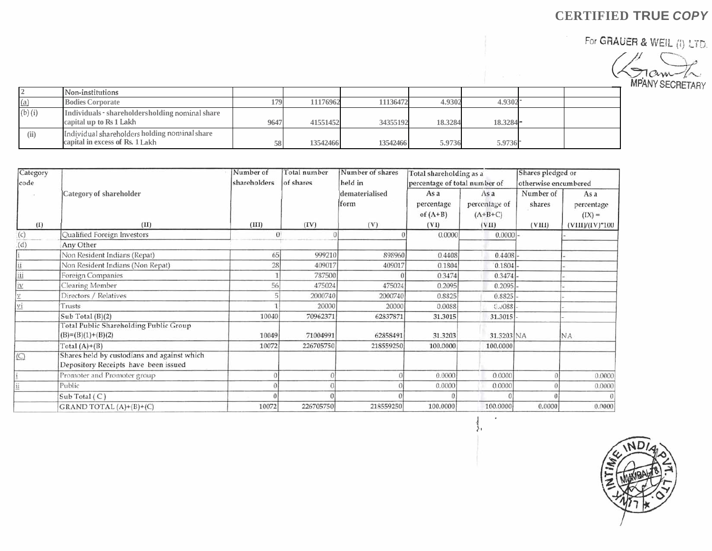For **GRAUER** & **\NEIL ji)** LiD,



|             | Non-institutions                                                                 |      |          |          |         |             |  |
|-------------|----------------------------------------------------------------------------------|------|----------|----------|---------|-------------|--|
| (a)         | <b>Bodies Corporate</b>                                                          | 179  | 11176962 | 11136472 | 4.9302  | 4.9302      |  |
| $(b)$ $(i)$ | Individuals - shareholdersholding nominal share<br>capital up to Rs 1 Lakh       | 9647 | 41551452 | 34355192 | 18.3284 | $18.3284 -$ |  |
| (ii)        | Individual shareholders holding nominal share<br>capital in excess of Rs. 1 Lakh | 58   | 13542466 | 13542466 | 5.9736  | 5.9736      |  |

| Category |                                                                                     | Number of    | Total number | Number of shares       | Total shareholding as a          |                                   | Shares pledged or   |                                |
|----------|-------------------------------------------------------------------------------------|--------------|--------------|------------------------|----------------------------------|-----------------------------------|---------------------|--------------------------------|
| code     |                                                                                     | shareholders | of shares    | held in                |                                  | percentage of total number of     |                     | otherwise encumbered           |
|          | Category of shareholder                                                             |              |              | dematerialised<br>form | As a<br>percentage<br>of $(A+B)$ | Asa<br>percentage of<br>$(A+B+C)$ | Number of<br>shares | As a<br>percentage<br>$(IX) =$ |
| (I)      | (II)                                                                                | (III)        | (IV)         | (V)                    | (VI)                             | (VII)                             | (VIII)              | $(VIII)/(IV)$ <sup>*</sup> 100 |
| (c)      | Qualified Foreign Investors                                                         | $\theta$     |              |                        | 0.0000                           | 0.0000                            |                     |                                |
| (d)      | Any Other                                                                           |              |              |                        |                                  |                                   |                     |                                |
|          | Non Resident Indians (Repat)                                                        | 65           | 999210       | 898960                 | 0.4408                           | 0.4408                            |                     |                                |
|          | Non Resident Indians (Non Repat)                                                    | 28           | 409017       | 409017                 | 0.1804                           | 0.1804                            |                     |                                |
| iii      | Foreign Companies                                                                   |              | 787500       |                        | 0.3474                           | 0.3474                            |                     |                                |
| 1V       | Clearing Member                                                                     | 56           | 475024       | 475024                 | 0.2095                           | 0.2095                            |                     |                                |
|          | Directors / Relatives                                                               |              | 2000740      | 2000740                | 0.8825                           | 0.8825                            |                     |                                |
| vi       | Trusts                                                                              |              | 20000        | 20000                  | 0.0088                           | 0.0088                            |                     |                                |
|          | Sub Total (B)(2)                                                                    | 10040        | 70962371     | 62837871               | 31.3015                          | $31.3015$ .                       |                     |                                |
|          | Total Public Shareholding Public Group<br>$(B)=(B)(1)+(B)(2)$                       | 10049        | 71004991     | 62858491               | 31.3203                          | 31.3203 NA                        |                     | NA                             |
|          | Total $(A)+(B)$                                                                     | 10072        | 226705750    | 218559250              | 100.0000                         | 100.0000                          |                     |                                |
| $\circ$  | Shares held by custodians and against which<br>Depository Receipts have been issued |              |              |                        |                                  |                                   |                     |                                |
|          | Promoter and Promoter group                                                         |              |              |                        | 0.0000                           | 0.0000                            |                     | 0.0000                         |
|          | Public                                                                              |              |              |                        | 0.0000                           | 0.0000                            |                     | 0.0000                         |
|          | Sub Total (C)                                                                       |              |              |                        |                                  |                                   |                     |                                |
|          | GRAND TOTAL $(A)+(B)+(C)$                                                           | 10072        | 226705750    | 218559250              | 100.0000                         | 100.0000                          | 0.0000              | 0.0000                         |

IND

**1** ' *I'* '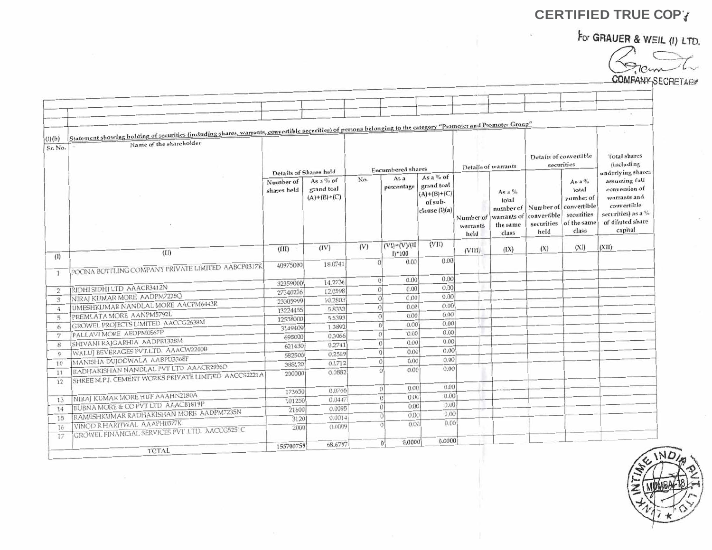For GRAUER & WEIL (I) LTD.

COMPANY SECRETARY

|                | Statement showing holding of securities (including shares, warrants, convertible securities) of persons belonging to the category "Promoter and Promoter Group" |                          |                                            |                |                            |                                                           |                     |                                                                              |                                           |                                                                                      | (1, 1, 1, 1, 1)                                                                                                    |
|----------------|-----------------------------------------------------------------------------------------------------------------------------------------------------------------|--------------------------|--------------------------------------------|----------------|----------------------------|-----------------------------------------------------------|---------------------|------------------------------------------------------------------------------|-------------------------------------------|--------------------------------------------------------------------------------------|--------------------------------------------------------------------------------------------------------------------|
| (I)(b)         | Name of the shareholder                                                                                                                                         |                          |                                            |                |                            |                                                           |                     |                                                                              |                                           |                                                                                      |                                                                                                                    |
| Sr. No.        |                                                                                                                                                                 |                          |                                            |                | <b>Encumbered</b> shares   |                                                           | Details of warrants |                                                                              | Details of convertible<br>securities      |                                                                                      | <b>Total shares</b><br>(including                                                                                  |
|                |                                                                                                                                                                 | Details of Shares held   |                                            | No.            | As a                       | As a % of                                                 |                     |                                                                              |                                           |                                                                                      | underlying shares                                                                                                  |
|                |                                                                                                                                                                 | Number of<br>shares held | As a $%$ of<br>grand toal<br>$(A)+(B)+(C)$ |                | percentage                 | grand toal<br>$(A)+(B)+(C)$<br>of sub-<br>clause $(I)(a)$ | warrants<br>held    | As a $\%$<br>total<br>Number of warrants of convertible<br>the same<br>class | number of Number of<br>securities<br>held | As a $\%$<br>total<br>number of<br>convertible<br>securities<br>of the same<br>class | assuming full<br>conversion of<br>warrants and<br>convertible<br>securities) as a %<br>of diluted share<br>capital |
|                |                                                                                                                                                                 |                          |                                            | (V)            | $(VI) = (V)/(II)$          | (VII)                                                     |                     |                                                                              |                                           |                                                                                      |                                                                                                                    |
| (1)            | (II)                                                                                                                                                            | (III)                    | (IV)                                       |                | $I$ <sup>+100</sup>        |                                                           | (VIII)              | (IX)                                                                         | (X)                                       | (XI)                                                                                 | (XII)                                                                                                              |
|                |                                                                                                                                                                 | 40975000                 | 18.0741                                    | $\Omega$       | 0.00                       | 0.00                                                      |                     |                                                                              |                                           |                                                                                      |                                                                                                                    |
| $\mathbf{1}$   | POONA BOTTLING COMPANY PRIVATE LIMITED AABCP0317K                                                                                                               |                          |                                            |                |                            |                                                           |                     |                                                                              |                                           |                                                                                      |                                                                                                                    |
|                |                                                                                                                                                                 | 32359000                 | 14.2736                                    | $\Omega$       | 0.00                       | 0.00                                                      |                     |                                                                              |                                           |                                                                                      |                                                                                                                    |
| $\overline{2}$ | RIDHI SIDHI LTD AAACR3412N                                                                                                                                      | 27340226                 | 12.0598                                    | $\theta$       | 0.00                       | 0.00                                                      |                     |                                                                              |                                           |                                                                                      |                                                                                                                    |
| 3              | NIRAJ KUMAR MORE AADPM7225Q                                                                                                                                     | 23305999                 | 10.2803                                    | $\overline{0}$ | 0.00                       | 0.00                                                      |                     |                                                                              |                                           |                                                                                      |                                                                                                                    |
| $\overline{4}$ | UMESHKUMAR NANDLAL MORE AACPM6443R                                                                                                                              | 13224455                 | 5.8333                                     | $\theta$       | 0.00                       | 0.00                                                      |                     |                                                                              |                                           |                                                                                      |                                                                                                                    |
| 5              | PREMLATA MORE AANPM5792L                                                                                                                                        | 12558000                 | 5.5393                                     | $\Omega$       | 0.00                       | 0.00                                                      |                     |                                                                              |                                           |                                                                                      |                                                                                                                    |
| 6              | GROWEL PROJECTS LIMITED AACCG2638M                                                                                                                              | 3149409                  | 1.3892                                     | $\theta$       | 0.00                       | 0.00                                                      |                     |                                                                              |                                           |                                                                                      |                                                                                                                    |
| 7              | PALLAVI MORE AEDPM0567P                                                                                                                                         | 695000                   | 0.3066                                     | 0              | 0.00                       | 0.00                                                      |                     |                                                                              |                                           |                                                                                      |                                                                                                                    |
| 8              | SHIVANI RAJGARHIA AADPR1328M                                                                                                                                    | 621430                   | 0.2741                                     |                | 0.00<br>$\alpha$           | 0.00                                                      |                     |                                                                              |                                           |                                                                                      |                                                                                                                    |
| $\mathbf Q$    | WALUJ BEVERAGES PVT.LTD. AAACW2240B                                                                                                                             | 582500                   | 0.2569                                     |                | 0.00<br> 0                 | 0.00                                                      |                     |                                                                              |                                           |                                                                                      |                                                                                                                    |
| 10             | MANISHA DUJODWALA AABPD3368F                                                                                                                                    | 388120                   | 0.1712                                     | $\Omega$       | 0.00                       | 0.00                                                      |                     |                                                                              |                                           |                                                                                      |                                                                                                                    |
| 11             | RADHAKISHAN NANDLAL PVT LTD AAACR2936D                                                                                                                          | 200000                   | 0.0882                                     |                | 0.00                       | 0.00                                                      |                     |                                                                              |                                           |                                                                                      |                                                                                                                    |
| 12             | SHREE M.P.J. CEMENT WORKS PRIVATE LIMITED AACCS2221A                                                                                                            |                          |                                            |                |                            |                                                           |                     |                                                                              |                                           |                                                                                      |                                                                                                                    |
|                |                                                                                                                                                                 | 173650                   | 0.0766                                     |                | 0.00<br>$\Omega$           | 0.00                                                      |                     |                                                                              |                                           |                                                                                      |                                                                                                                    |
| 13             | NIRAJ KUMAR MORE HUF AAAHN2180A                                                                                                                                 | 101250                   | 0.0447                                     |                | 0.00<br>$\Omega$           | 0.00                                                      |                     |                                                                              |                                           |                                                                                      |                                                                                                                    |
| 14             | BUBNA MORE & CO PVT LTD AAACB1819P                                                                                                                              | 21600                    | 0.0095                                     |                | 0.00<br>$\Omega$           | 0.00                                                      |                     |                                                                              |                                           |                                                                                      |                                                                                                                    |
| 15             | RAMESHKUMAR RADHAKISHAN MORE AADPM7235N                                                                                                                         | 3120                     | 0.0014                                     |                | 0.00<br>$\Omega$           | 0.00                                                      |                     |                                                                              |                                           |                                                                                      |                                                                                                                    |
| 16             | VINOD R HARITWAL AAAPH0577K                                                                                                                                     | 2000                     | 0.0009                                     |                | 0.00                       | 0.00                                                      |                     |                                                                              |                                           |                                                                                      |                                                                                                                    |
| 17             | GROWEL FINANCIAL SERVICES PVT LTD. AACCG5251C                                                                                                                   |                          |                                            |                |                            |                                                           |                     |                                                                              |                                           |                                                                                      |                                                                                                                    |
|                |                                                                                                                                                                 | 155700759                | 68.6797                                    |                | 0.0000<br>$\left 0\right $ | 0.0000                                                    |                     |                                                                              |                                           |                                                                                      |                                                                                                                    |
|                | <b>TOTAL</b>                                                                                                                                                    |                          |                                            |                |                            |                                                           |                     |                                                                              |                                           |                                                                                      |                                                                                                                    |

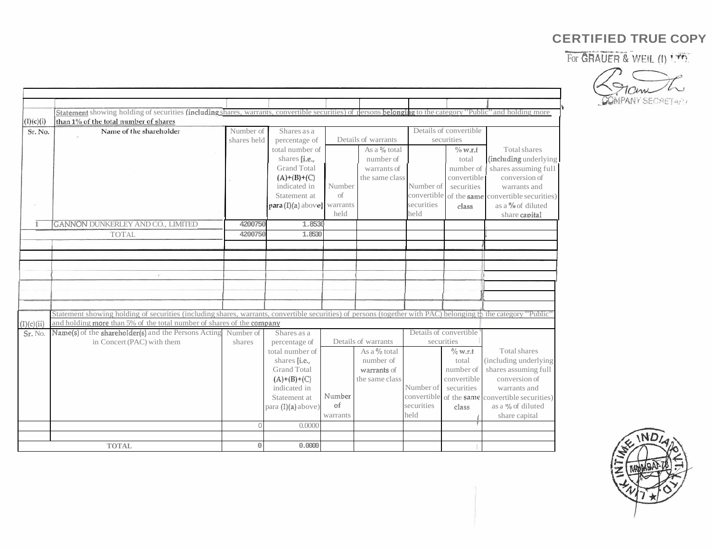For **GRAUER O WEN** fl) '.T.



|               | Statement showing holding of securities (including shares, warrants, convertible securities) of persons belonging to the category "Public" and holding more    |             |                             |            |                     |                        |                        |                                                 |
|---------------|----------------------------------------------------------------------------------------------------------------------------------------------------------------|-------------|-----------------------------|------------|---------------------|------------------------|------------------------|-------------------------------------------------|
| (I)(c)(i)     | than 1% of the total number of shares                                                                                                                          |             |                             |            |                     |                        |                        |                                                 |
| Sr. No.       | Name of the shareholder                                                                                                                                        | Number of   | Shares as a                 |            |                     |                        | Details of convertible |                                                 |
|               |                                                                                                                                                                | shares held | percentage of               |            | Details of warrants |                        | securities             |                                                 |
|               |                                                                                                                                                                |             | total number of             |            | As a % total        |                        | $\%$ w.r.t             | Total shares                                    |
|               |                                                                                                                                                                |             | shares $[i.e.,$             |            | number of           |                        | total                  | (including underlying                           |
|               |                                                                                                                                                                |             | <b>Grand Total</b>          |            | warrants of         |                        | number of              | shares assuming full                            |
|               |                                                                                                                                                                |             | $(A)+(B)+(C)$               |            | the same class      |                        | convertible            | conversion of                                   |
|               |                                                                                                                                                                |             | indicated in                | Number     |                     | Number of              | securities             | warrants and                                    |
|               |                                                                                                                                                                |             | Statement at                | $\sigma$ f |                     |                        |                        | convertible of the same convertible securities) |
| $\mathcal{L}$ |                                                                                                                                                                |             | para (I)(a) above] warrants |            |                     | securities             | class                  | as a % of diluted                               |
|               |                                                                                                                                                                |             |                             | held       |                     | held                   |                        | share capital                                   |
| $\mathbf{1}$  | GANNON DUNKERLEY AND CO., LIMITED                                                                                                                              | 4200750     | 1.8530                      |            |                     |                        |                        |                                                 |
|               | <b>TOTAL</b>                                                                                                                                                   | 4200750     | 1.8530                      |            |                     |                        |                        |                                                 |
|               |                                                                                                                                                                |             |                             |            |                     |                        |                        |                                                 |
|               |                                                                                                                                                                |             |                             |            |                     |                        |                        |                                                 |
|               |                                                                                                                                                                |             |                             |            |                     |                        |                        |                                                 |
|               | ×                                                                                                                                                              |             |                             |            |                     |                        |                        |                                                 |
|               |                                                                                                                                                                |             |                             |            |                     |                        |                        |                                                 |
|               |                                                                                                                                                                |             |                             |            |                     |                        |                        |                                                 |
|               |                                                                                                                                                                |             |                             |            |                     |                        |                        |                                                 |
|               | Statement showing holding of securities (including shares, warrants, convertible securities) of persons (together with PAC) belonging to the category "Public" |             |                             |            |                     |                        |                        |                                                 |
| (I)(c)(ii)    | and holding more than 5% of the total number of shares of the company                                                                                          |             |                             |            |                     |                        |                        |                                                 |
| Sr. No.       | Name(s) of the shareholder(s) and the Persons Acting                                                                                                           | Number of   | Shares as a                 |            |                     | Details of convertible |                        |                                                 |
|               | in Concert (PAC) with them                                                                                                                                     | shares      | percentage of               |            | Details of warrants | securities             |                        |                                                 |
|               |                                                                                                                                                                |             | total number of             |            | As a % total        |                        | $\%$ w.r.t             | Total shares                                    |
|               |                                                                                                                                                                |             | shares (i.e.,               |            | number of           |                        | total                  | (including underlying                           |
|               |                                                                                                                                                                |             | <b>Grand Total</b>          |            | warrants of         |                        | number of              | shares assuming full                            |
|               |                                                                                                                                                                |             | $(A)+(B)+(C)$               |            | the same class      |                        | convertible            | conversion of                                   |
|               |                                                                                                                                                                |             | indicated in                |            |                     | Number of              | securities             | warrants and                                    |
|               |                                                                                                                                                                |             | Statement at                | Number     |                     |                        |                        | convertible of the same convertible securities) |
|               |                                                                                                                                                                |             | para $(I)(a)$ above)        | of         |                     | securities             | class                  | as a % of diluted                               |
|               |                                                                                                                                                                |             |                             | warrants   |                     | held                   |                        | share capital                                   |
|               |                                                                                                                                                                | $\Omega$    | 0.0000                      |            |                     |                        |                        |                                                 |
|               |                                                                                                                                                                |             |                             |            |                     |                        |                        |                                                 |
|               |                                                                                                                                                                |             |                             |            |                     |                        |                        |                                                 |

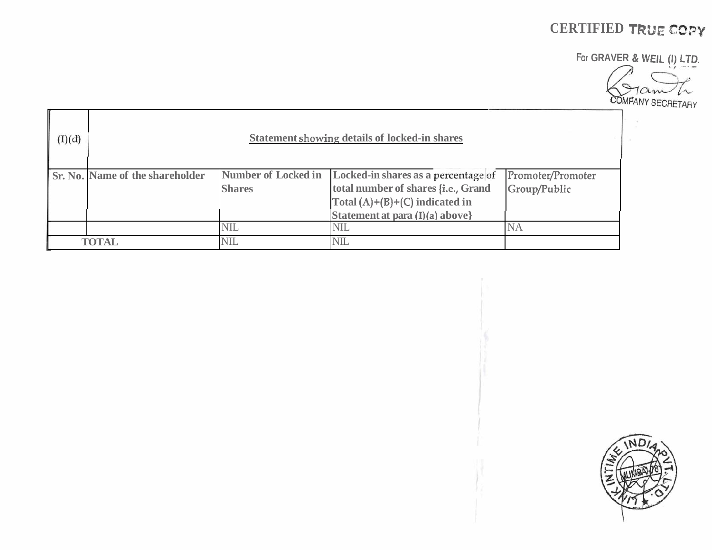# **CERTIFIED TRL'E CC)PY**

For **GRAVER** & **WElL (1) LTD.** 

 $\bigcap$ COMPANY SECRETARY

| (I)(d) | <b>Statement showing details of locked-in shares</b> |                                      |                                                                                                                                                   |                                   |  |  |  |  |  |
|--------|------------------------------------------------------|--------------------------------------|---------------------------------------------------------------------------------------------------------------------------------------------------|-----------------------------------|--|--|--|--|--|
|        | <b>Sr. No. Name of the shareholder</b>               | Number of Locked in<br><b>Shares</b> | Locked-in shares as a percentage of<br>total number of shares {i.e., Grand<br>Total $(A)+(B)+(C)$ indicated in<br>Statement at para (I)(a) above} | Promoter/Promoter<br>Group/Public |  |  |  |  |  |
|        |                                                      | <b>NIL</b>                           | <b>NIL</b>                                                                                                                                        | <b>NA</b>                         |  |  |  |  |  |
|        | <b>TOTAL</b>                                         | NIL                                  | <b>NIL</b>                                                                                                                                        |                                   |  |  |  |  |  |

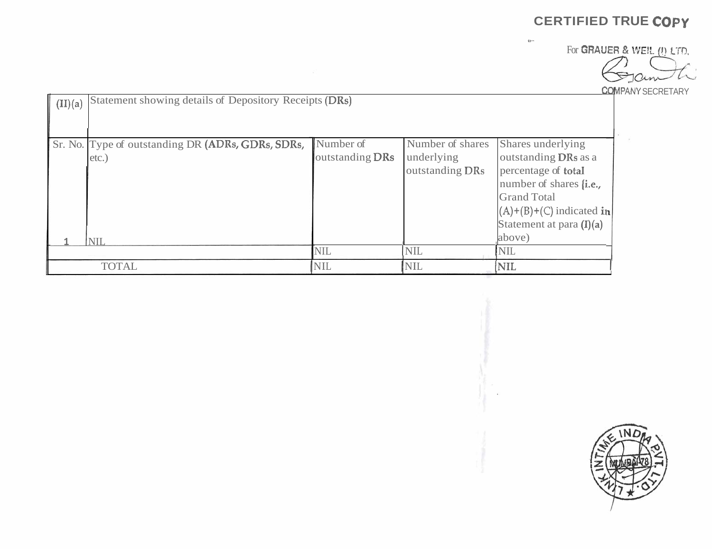**CQMPANY** SECRETARY

|                                                                           |                              |                                                   | <b>CERTIFIED TRUE COPY</b><br>41.                                                                                                                                                     |                                                                |
|---------------------------------------------------------------------------|------------------------------|---------------------------------------------------|---------------------------------------------------------------------------------------------------------------------------------------------------------------------------------------|----------------------------------------------------------------|
|                                                                           | - 32                         |                                                   |                                                                                                                                                                                       | For GRAUER & WEIL (I) LTD.<br>Tain<br><b>COMPANY SECRETARY</b> |
| Statement showing details of Depository Receipts (DRs)<br>(II)(a)         |                              |                                                   |                                                                                                                                                                                       |                                                                |
| Sr. No. Type of outstanding DR (ADRs, GDRs, SDRs,<br>etc.)<br><u> NIL</u> | Number of<br>outstanding DRs | Number of shares<br>underlying<br>outstanding DRs | Shares underlying<br>outstanding DRs as a<br>percentage of total<br>number of shares [i.e.,<br><b>Grand Total</b><br>$(A)+(B)+(C)$ indicated in<br>Statement at para (I)(a)<br>above) | $\overline{r}$                                                 |
| <b>TOTAL</b>                                                              | NIL<br>NIL                   | NIL<br>NIL                                        | $\text{NIL}$<br>$\sqrt{\text{NIL}}$                                                                                                                                                   |                                                                |